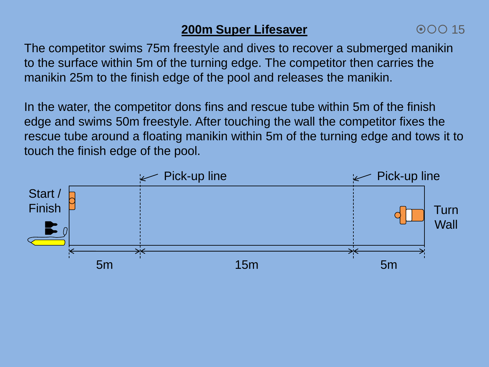# **200m Super Lifesaver**

The competitor swims 75m freestyle and dives to recover a submerged manikin to the surface within 5m of the turning edge. The competitor then carries the manikin 25m to the finish edge of the pool and releases the manikin.

In the water, the competitor dons fins and rescue tube within 5m of the finish edge and swims 50m freestyle. After touching the wall the competitor fixes the rescue tube around a floating manikin within 5m of the turning edge and tows it to touch the finish edge of the pool.

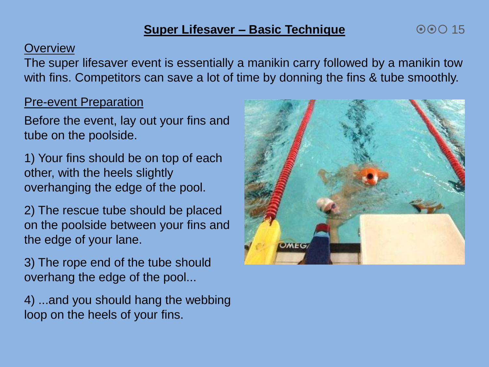## **Super Lifesaver – Basic Technique**

#### **Overview**

The super lifesaver event is essentially a manikin carry followed by a manikin tow with fins. Competitors can save a lot of time by donning the fins & tube smoothly.

## Pre-event Preparation

Before the event, lay out your fins and tube on the poolside.

1) Your fins should be on top of each other, with the heels slightly overhanging the edge of the pool.

2) The rescue tube should be placed on the poolside between your fins and the edge of your lane.

3) The rope end of the tube should overhang the edge of the pool...

4) ...and you should hang the webbing loop on the heels of your fins.